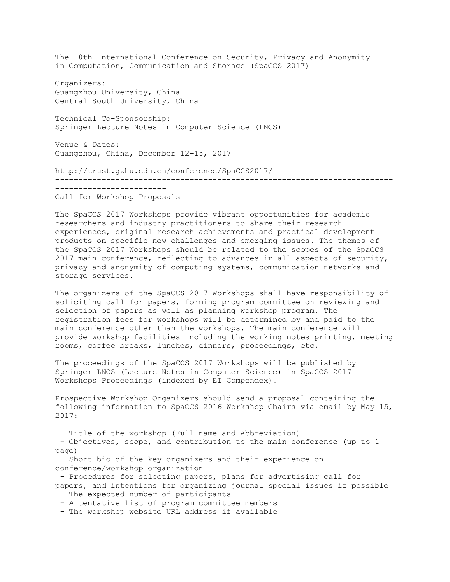The 10th International Conference on Security, Privacy and Anonymity in Computation, Communication and Storage (SpaCCS 2017) Organizers: Guangzhou University, China Central South University, China Technical Co-Sponsorship: Springer Lecture Notes in Computer Science (LNCS) Venue & Dates: Guangzhou, China, December 12-15, 2017 http://trust.gzhu.edu.cn/conference/SpaCCS2017/ ------------------------------------------------------------------------- ------------------------ Call for Workshop Proposals

The SpaCCS 2017 Workshops provide vibrant opportunities for academic researchers and industry practitioners to share their research experiences, original research achievements and practical development products on specific new challenges and emerging issues. The themes of the SpaCCS 2017 Workshops should be related to the scopes of the SpaCCS 2017 main conference, reflecting to advances in all aspects of security, privacy and anonymity of computing systems, communication networks and storage services.

The organizers of the SpaCCS 2017 Workshops shall have responsibility of soliciting call for papers, forming program committee on reviewing and selection of papers as well as planning workshop program. The registration fees for workshops will be determined by and paid to the main conference other than the workshops. The main conference will provide workshop facilities including the working notes printing, meeting rooms, coffee breaks, lunches, dinners, proceedings, etc.

The proceedings of the SpaCCS 2017 Workshops will be published by Springer LNCS (Lecture Notes in Computer Science) in SpaCCS 2017 Workshops Proceedings (indexed by EI Compendex).

Prospective Workshop Organizers should send a proposal containing the following information to SpaCCS 2016 Workshop Chairs via email by May 15, 2017:

- Title of the workshop (Full name and Abbreviation)

- Objectives, scope, and contribution to the main conference (up to 1 page)

- Short bio of the key organizers and their experience on conference/workshop organization

- Procedures for selecting papers, plans for advertising call for papers, and intentions for organizing journal special issues if possible - The expected number of participants

- A tentative list of program committee members

- The workshop website URL address if available